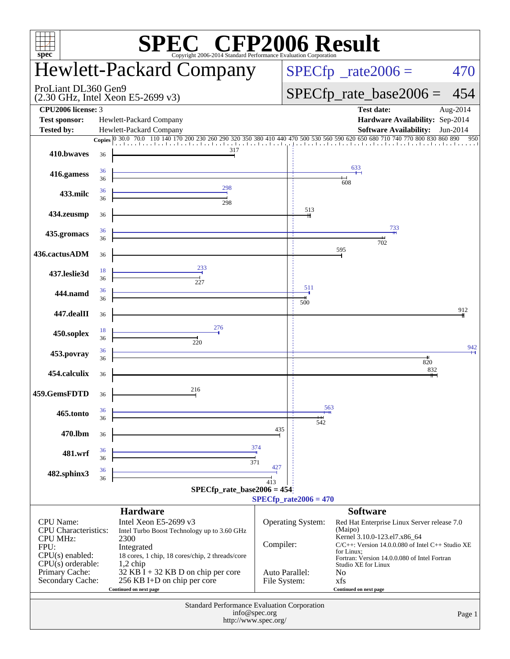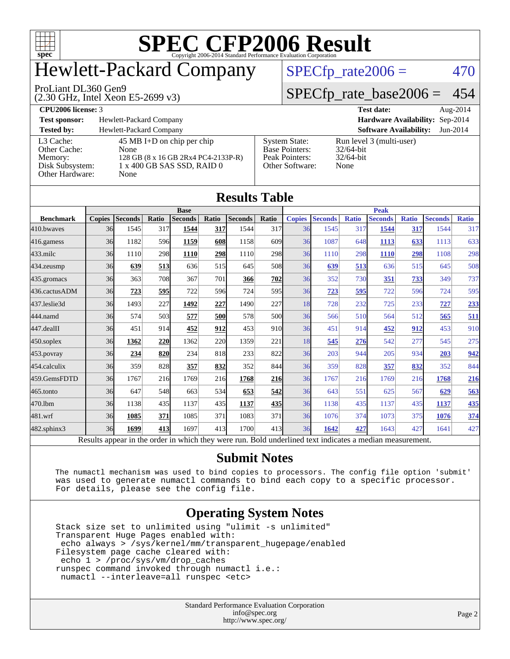

### Hewlett-Packard Company

#### ProLiant DL360 Gen9

(2.30 GHz, Intel Xeon E5-2699 v3)

 $SPECfp_rate2006 = 470$  $SPECfp_rate2006 = 470$ 

[SPECfp\\_rate\\_base2006 =](http://www.spec.org/auto/cpu2006/Docs/result-fields.html#SPECfpratebase2006) 454

#### **[CPU2006 license:](http://www.spec.org/auto/cpu2006/Docs/result-fields.html#CPU2006license)** 3 **[Test date:](http://www.spec.org/auto/cpu2006/Docs/result-fields.html#Testdate)** Aug-2014 **[Test sponsor:](http://www.spec.org/auto/cpu2006/Docs/result-fields.html#Testsponsor)** Hewlett-Packard Company **[Hardware Availability:](http://www.spec.org/auto/cpu2006/Docs/result-fields.html#HardwareAvailability)** Sep-2014 **[Tested by:](http://www.spec.org/auto/cpu2006/Docs/result-fields.html#Testedby)** Hewlett-Packard Company **[Software Availability:](http://www.spec.org/auto/cpu2006/Docs/result-fields.html#SoftwareAvailability)** Jun-2014 [L3 Cache:](http://www.spec.org/auto/cpu2006/Docs/result-fields.html#L3Cache) 45 MB I+D on chip per chip<br>Other Cache: None [Other Cache:](http://www.spec.org/auto/cpu2006/Docs/result-fields.html#OtherCache) [Memory:](http://www.spec.org/auto/cpu2006/Docs/result-fields.html#Memory) 128 GB (8 x 16 GB 2Rx4 PC4-2133P-R) [Disk Subsystem:](http://www.spec.org/auto/cpu2006/Docs/result-fields.html#DiskSubsystem) 1 x 400 GB SAS SSD, RAID 0 [Other Hardware:](http://www.spec.org/auto/cpu2006/Docs/result-fields.html#OtherHardware) None [System State:](http://www.spec.org/auto/cpu2006/Docs/result-fields.html#SystemState) Run level 3 (multi-user)<br>Base Pointers: 32/64-bit [Base Pointers:](http://www.spec.org/auto/cpu2006/Docs/result-fields.html#BasePointers) [Peak Pointers:](http://www.spec.org/auto/cpu2006/Docs/result-fields.html#PeakPointers) 32/64-bit [Other Software:](http://www.spec.org/auto/cpu2006/Docs/result-fields.html#OtherSoftware) None

| <b>Results Table</b> |               |                                                                                                          |       |                |            |                |                 |               |                |              |                |              |                |              |
|----------------------|---------------|----------------------------------------------------------------------------------------------------------|-------|----------------|------------|----------------|-----------------|---------------|----------------|--------------|----------------|--------------|----------------|--------------|
|                      | <b>Base</b>   |                                                                                                          |       |                |            |                | <b>Peak</b>     |               |                |              |                |              |                |              |
| <b>Benchmark</b>     | <b>Copies</b> | <b>Seconds</b>                                                                                           | Ratio | <b>Seconds</b> | Ratio      | <b>Seconds</b> | Ratio           | <b>Copies</b> | <b>Seconds</b> | <b>Ratio</b> | <b>Seconds</b> | <b>Ratio</b> | <b>Seconds</b> | <b>Ratio</b> |
| 410.bwayes           | 36            | 1545                                                                                                     | 317   | 1544           | 317        | 1544           | 317             | 36            | 1545           | 317          | 1544           | 317          | 1544           | 317          |
| $416$ .gamess        | 36            | 1182                                                                                                     | 596   | 1159           | 608        | 1158           | 609             | 36            | 1087           | 648          | 1113           | 633          | 1113           | 633          |
| $433$ .milc          | 36            | 1110                                                                                                     | 298   | 1110           | 298        | 1110           | 298             | 36            | 1110           | 298          | 1110           | 298          | 1108           | 298          |
| $434$ . zeusmp       | 36            | 639                                                                                                      | 513   | 636            | 515        | 645            | 50 <sub>8</sub> | 36            | 639            | 513          | 636            | 515          | 645            | 508          |
| 435.gromacs          | 36            | 363                                                                                                      | 708   | 367            | 701        | 366            | 702             | 36            | 352            | 730          | 351            | 733          | 349            | 737          |
| 436.cactusADM        | 36            | 723                                                                                                      | 595   | 722            | 596        | 724            | 595             | 36            | 723            | 595          | 722            | 596          | 724            | 595          |
| 437.leslie3d         | 36            | 1493                                                                                                     | 227   | 1492           | 227        | 1490           | 227             | 18            | 728            | 232          | 725            | 233          | 727            | 233          |
| 444.namd             | 36            | 574                                                                                                      | 503   | 577            | 500        | 578            | 500             | 36            | 566            | 510          | 564            | 512          | 565            | 511          |
| $447$ .dealII        | 36            | 451                                                                                                      | 914   | 452            | 912        | 453            | 910             | 36            | 451            | 914          | 452            | 912          | 453            | 910          |
| $450$ .soplex        | 36            | 1362                                                                                                     | 220   | 1362           | <b>220</b> | 1359           | 221             | 18            | 545            | 276          | 542            | 277          | 545            | 275          |
| 453.povray           | 36            | 234                                                                                                      | 820   | 234            | 818        | 233            | 822             | 36            | 203            | 944          | 205            | 934          | 203            | 942          |
| 454.calculix         | 36            | 359                                                                                                      | 828   | 357            | 832        | 352            | 844             | 36            | 359            | 828          | 357            | 832          | 352            | 844          |
| 459.GemsFDTD         | 36            | 1767                                                                                                     | 216   | 1769           | 216        | 1768           | <b>216</b>      | 36            | 1767           | 216          | 1769           | 216          | 1768           | 216          |
| 465.tonto            | 36            | 647                                                                                                      | 548   | 663            | 534        | 653            | 542             | 36            | 643            | 551          | 625            | 567          | 629            | 563          |
| 470.1bm              | 36            | 1138                                                                                                     | 435   | 1137           | 435        | 1137           | <u>435</u>      | 36            | 1138           | 435          | 1137           | 435          | 1137           | 435          |
| 481.wrf              | 36            | 1085                                                                                                     | 371   | 1085           | 371        | 1083           | 371             | 36            | 1076           | 374          | 1073           | 375          | 1076           | 374          |
| 482.sphinx3          | 36            | 1699                                                                                                     | 413   | 1697           | 413        | 1700           | 413             | 36            | 1642           | 427          | 1643           | 427          | 1641           | 427          |
|                      |               | Results appear in the order in which they were run. Bold underlined text indicates a median measurement. |       |                |            |                |                 |               |                |              |                |              |                |              |

#### **[Submit Notes](http://www.spec.org/auto/cpu2006/Docs/result-fields.html#SubmitNotes)**

 The numactl mechanism was used to bind copies to processors. The config file option 'submit' was used to generate numactl commands to bind each copy to a specific processor. For details, please see the config file.

#### **[Operating System Notes](http://www.spec.org/auto/cpu2006/Docs/result-fields.html#OperatingSystemNotes)**

 Stack size set to unlimited using "ulimit -s unlimited" Transparent Huge Pages enabled with: echo always > /sys/kernel/mm/transparent\_hugepage/enabled Filesystem page cache cleared with: echo 1 > /proc/sys/vm/drop\_caches runspec command invoked through numactl i.e.: numactl --interleave=all runspec <etc>

> Standard Performance Evaluation Corporation [info@spec.org](mailto:info@spec.org) <http://www.spec.org/>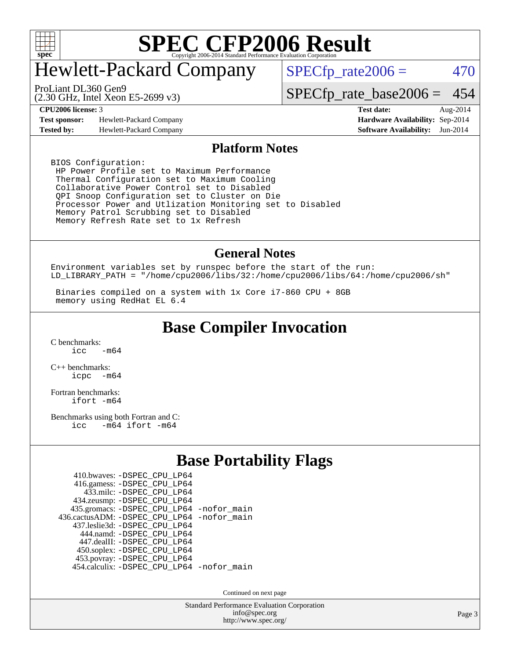

### Hewlett-Packard Company

 $SPECfp_rate2006 = 470$  $SPECfp_rate2006 = 470$ 

(2.30 GHz, Intel Xeon E5-2699 v3) ProLiant DL360 Gen9

[SPECfp\\_rate\\_base2006 =](http://www.spec.org/auto/cpu2006/Docs/result-fields.html#SPECfpratebase2006) 454

**[Test sponsor:](http://www.spec.org/auto/cpu2006/Docs/result-fields.html#Testsponsor)** Hewlett-Packard Company **[Hardware Availability:](http://www.spec.org/auto/cpu2006/Docs/result-fields.html#HardwareAvailability)** Sep-2014 **[Tested by:](http://www.spec.org/auto/cpu2006/Docs/result-fields.html#Testedby)** Hewlett-Packard Company **[Software Availability:](http://www.spec.org/auto/cpu2006/Docs/result-fields.html#SoftwareAvailability)** Jun-2014

**[CPU2006 license:](http://www.spec.org/auto/cpu2006/Docs/result-fields.html#CPU2006license)** 3 **[Test date:](http://www.spec.org/auto/cpu2006/Docs/result-fields.html#Testdate)** Aug-2014

#### **[Platform Notes](http://www.spec.org/auto/cpu2006/Docs/result-fields.html#PlatformNotes)**

BIOS Configuration: HP Power Profile set to Maximum Performance Thermal Configuration set to Maximum Cooling Collaborative Power Control set to Disabled QPI Snoop Configuration set to Cluster on Die Processor Power and Utlization Monitoring set to Disabled Memory Patrol Scrubbing set to Disabled Memory Refresh Rate set to 1x Refresh

#### **[General Notes](http://www.spec.org/auto/cpu2006/Docs/result-fields.html#GeneralNotes)**

Environment variables set by runspec before the start of the run: LD\_LIBRARY\_PATH = "/home/cpu2006/libs/32:/home/cpu2006/libs/64:/home/cpu2006/sh"

 Binaries compiled on a system with 1x Core i7-860 CPU + 8GB memory using RedHat EL 6.4

#### **[Base Compiler Invocation](http://www.spec.org/auto/cpu2006/Docs/result-fields.html#BaseCompilerInvocation)**

[C benchmarks](http://www.spec.org/auto/cpu2006/Docs/result-fields.html#Cbenchmarks):  $\frac{1}{2}$ cc  $-\text{m64}$ 

[C++ benchmarks:](http://www.spec.org/auto/cpu2006/Docs/result-fields.html#CXXbenchmarks) [icpc -m64](http://www.spec.org/cpu2006/results/res2014q3/cpu2006-20140908-31236.flags.html#user_CXXbase_intel_icpc_64bit_bedb90c1146cab66620883ef4f41a67e)

[Fortran benchmarks](http://www.spec.org/auto/cpu2006/Docs/result-fields.html#Fortranbenchmarks): [ifort -m64](http://www.spec.org/cpu2006/results/res2014q3/cpu2006-20140908-31236.flags.html#user_FCbase_intel_ifort_64bit_ee9d0fb25645d0210d97eb0527dcc06e)

[Benchmarks using both Fortran and C](http://www.spec.org/auto/cpu2006/Docs/result-fields.html#BenchmarksusingbothFortranandC): [icc -m64](http://www.spec.org/cpu2006/results/res2014q3/cpu2006-20140908-31236.flags.html#user_CC_FCbase_intel_icc_64bit_0b7121f5ab7cfabee23d88897260401c) [ifort -m64](http://www.spec.org/cpu2006/results/res2014q3/cpu2006-20140908-31236.flags.html#user_CC_FCbase_intel_ifort_64bit_ee9d0fb25645d0210d97eb0527dcc06e)

#### **[Base Portability Flags](http://www.spec.org/auto/cpu2006/Docs/result-fields.html#BasePortabilityFlags)**

| 435.gromacs: -DSPEC_CPU_LP64 -nofor_main   |
|--------------------------------------------|
| 436.cactusADM: -DSPEC CPU LP64 -nofor main |
|                                            |
|                                            |
|                                            |
|                                            |
|                                            |
| 454.calculix: -DSPEC_CPU_LP64 -nofor_main  |
|                                            |

Continued on next page

Standard Performance Evaluation Corporation [info@spec.org](mailto:info@spec.org) <http://www.spec.org/>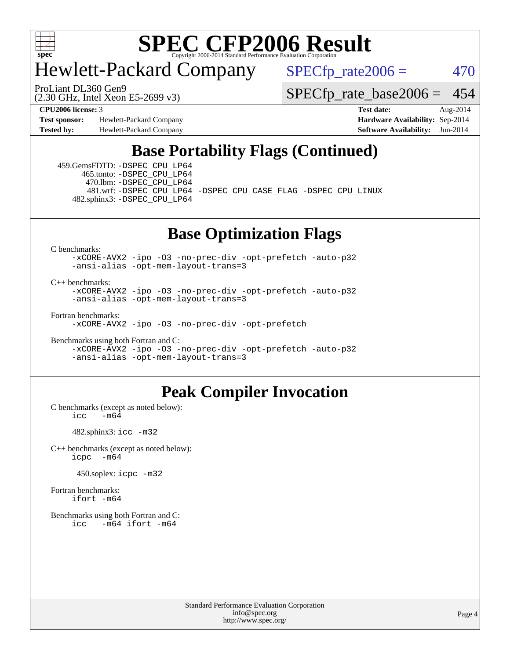

### Hewlett-Packard Company

 $SPECfp_rate2006 = 470$  $SPECfp_rate2006 = 470$ 

(2.30 GHz, Intel Xeon E5-2699 v3) ProLiant DL360 Gen9

[SPECfp\\_rate\\_base2006 =](http://www.spec.org/auto/cpu2006/Docs/result-fields.html#SPECfpratebase2006) 454

**[Test sponsor:](http://www.spec.org/auto/cpu2006/Docs/result-fields.html#Testsponsor)** Hewlett-Packard Company **[Hardware Availability:](http://www.spec.org/auto/cpu2006/Docs/result-fields.html#HardwareAvailability)** Sep-2014 **[Tested by:](http://www.spec.org/auto/cpu2006/Docs/result-fields.html#Testedby)** Hewlett-Packard Company **[Software Availability:](http://www.spec.org/auto/cpu2006/Docs/result-fields.html#SoftwareAvailability)** Jun-2014

**[CPU2006 license:](http://www.spec.org/auto/cpu2006/Docs/result-fields.html#CPU2006license)** 3 **[Test date:](http://www.spec.org/auto/cpu2006/Docs/result-fields.html#Testdate)** Aug-2014

#### **[Base Portability Flags \(Continued\)](http://www.spec.org/auto/cpu2006/Docs/result-fields.html#BasePortabilityFlags)**

 459.GemsFDTD: [-DSPEC\\_CPU\\_LP64](http://www.spec.org/cpu2006/results/res2014q3/cpu2006-20140908-31236.flags.html#suite_basePORTABILITY459_GemsFDTD_DSPEC_CPU_LP64) 465.tonto: [-DSPEC\\_CPU\\_LP64](http://www.spec.org/cpu2006/results/res2014q3/cpu2006-20140908-31236.flags.html#suite_basePORTABILITY465_tonto_DSPEC_CPU_LP64) 470.lbm: [-DSPEC\\_CPU\\_LP64](http://www.spec.org/cpu2006/results/res2014q3/cpu2006-20140908-31236.flags.html#suite_basePORTABILITY470_lbm_DSPEC_CPU_LP64) 482.sphinx3: [-DSPEC\\_CPU\\_LP64](http://www.spec.org/cpu2006/results/res2014q3/cpu2006-20140908-31236.flags.html#suite_basePORTABILITY482_sphinx3_DSPEC_CPU_LP64)

481.wrf: [-DSPEC\\_CPU\\_LP64](http://www.spec.org/cpu2006/results/res2014q3/cpu2006-20140908-31236.flags.html#suite_basePORTABILITY481_wrf_DSPEC_CPU_LP64) [-DSPEC\\_CPU\\_CASE\\_FLAG](http://www.spec.org/cpu2006/results/res2014q3/cpu2006-20140908-31236.flags.html#b481.wrf_baseCPORTABILITY_DSPEC_CPU_CASE_FLAG) [-DSPEC\\_CPU\\_LINUX](http://www.spec.org/cpu2006/results/res2014q3/cpu2006-20140908-31236.flags.html#b481.wrf_baseCPORTABILITY_DSPEC_CPU_LINUX)

#### **[Base Optimization Flags](http://www.spec.org/auto/cpu2006/Docs/result-fields.html#BaseOptimizationFlags)**

[C benchmarks](http://www.spec.org/auto/cpu2006/Docs/result-fields.html#Cbenchmarks):

[-xCORE-AVX2](http://www.spec.org/cpu2006/results/res2014q3/cpu2006-20140908-31236.flags.html#user_CCbase_f-xAVX2_5f5fc0cbe2c9f62c816d3e45806c70d7) [-ipo](http://www.spec.org/cpu2006/results/res2014q3/cpu2006-20140908-31236.flags.html#user_CCbase_f-ipo) [-O3](http://www.spec.org/cpu2006/results/res2014q3/cpu2006-20140908-31236.flags.html#user_CCbase_f-O3) [-no-prec-div](http://www.spec.org/cpu2006/results/res2014q3/cpu2006-20140908-31236.flags.html#user_CCbase_f-no-prec-div) [-opt-prefetch](http://www.spec.org/cpu2006/results/res2014q3/cpu2006-20140908-31236.flags.html#user_CCbase_f-opt-prefetch) [-auto-p32](http://www.spec.org/cpu2006/results/res2014q3/cpu2006-20140908-31236.flags.html#user_CCbase_f-auto-p32) [-ansi-alias](http://www.spec.org/cpu2006/results/res2014q3/cpu2006-20140908-31236.flags.html#user_CCbase_f-ansi-alias) [-opt-mem-layout-trans=3](http://www.spec.org/cpu2006/results/res2014q3/cpu2006-20140908-31236.flags.html#user_CCbase_f-opt-mem-layout-trans_a7b82ad4bd7abf52556d4961a2ae94d5)

[C++ benchmarks:](http://www.spec.org/auto/cpu2006/Docs/result-fields.html#CXXbenchmarks)

[-xCORE-AVX2](http://www.spec.org/cpu2006/results/res2014q3/cpu2006-20140908-31236.flags.html#user_CXXbase_f-xAVX2_5f5fc0cbe2c9f62c816d3e45806c70d7) [-ipo](http://www.spec.org/cpu2006/results/res2014q3/cpu2006-20140908-31236.flags.html#user_CXXbase_f-ipo) [-O3](http://www.spec.org/cpu2006/results/res2014q3/cpu2006-20140908-31236.flags.html#user_CXXbase_f-O3) [-no-prec-div](http://www.spec.org/cpu2006/results/res2014q3/cpu2006-20140908-31236.flags.html#user_CXXbase_f-no-prec-div) [-opt-prefetch](http://www.spec.org/cpu2006/results/res2014q3/cpu2006-20140908-31236.flags.html#user_CXXbase_f-opt-prefetch) [-auto-p32](http://www.spec.org/cpu2006/results/res2014q3/cpu2006-20140908-31236.flags.html#user_CXXbase_f-auto-p32) [-ansi-alias](http://www.spec.org/cpu2006/results/res2014q3/cpu2006-20140908-31236.flags.html#user_CXXbase_f-ansi-alias) [-opt-mem-layout-trans=3](http://www.spec.org/cpu2006/results/res2014q3/cpu2006-20140908-31236.flags.html#user_CXXbase_f-opt-mem-layout-trans_a7b82ad4bd7abf52556d4961a2ae94d5)

[Fortran benchmarks](http://www.spec.org/auto/cpu2006/Docs/result-fields.html#Fortranbenchmarks): [-xCORE-AVX2](http://www.spec.org/cpu2006/results/res2014q3/cpu2006-20140908-31236.flags.html#user_FCbase_f-xAVX2_5f5fc0cbe2c9f62c816d3e45806c70d7) [-ipo](http://www.spec.org/cpu2006/results/res2014q3/cpu2006-20140908-31236.flags.html#user_FCbase_f-ipo) [-O3](http://www.spec.org/cpu2006/results/res2014q3/cpu2006-20140908-31236.flags.html#user_FCbase_f-O3) [-no-prec-div](http://www.spec.org/cpu2006/results/res2014q3/cpu2006-20140908-31236.flags.html#user_FCbase_f-no-prec-div) [-opt-prefetch](http://www.spec.org/cpu2006/results/res2014q3/cpu2006-20140908-31236.flags.html#user_FCbase_f-opt-prefetch)

[Benchmarks using both Fortran and C](http://www.spec.org/auto/cpu2006/Docs/result-fields.html#BenchmarksusingbothFortranandC):

[-xCORE-AVX2](http://www.spec.org/cpu2006/results/res2014q3/cpu2006-20140908-31236.flags.html#user_CC_FCbase_f-xAVX2_5f5fc0cbe2c9f62c816d3e45806c70d7) [-ipo](http://www.spec.org/cpu2006/results/res2014q3/cpu2006-20140908-31236.flags.html#user_CC_FCbase_f-ipo) [-O3](http://www.spec.org/cpu2006/results/res2014q3/cpu2006-20140908-31236.flags.html#user_CC_FCbase_f-O3) [-no-prec-div](http://www.spec.org/cpu2006/results/res2014q3/cpu2006-20140908-31236.flags.html#user_CC_FCbase_f-no-prec-div) [-opt-prefetch](http://www.spec.org/cpu2006/results/res2014q3/cpu2006-20140908-31236.flags.html#user_CC_FCbase_f-opt-prefetch) [-auto-p32](http://www.spec.org/cpu2006/results/res2014q3/cpu2006-20140908-31236.flags.html#user_CC_FCbase_f-auto-p32) [-ansi-alias](http://www.spec.org/cpu2006/results/res2014q3/cpu2006-20140908-31236.flags.html#user_CC_FCbase_f-ansi-alias) [-opt-mem-layout-trans=3](http://www.spec.org/cpu2006/results/res2014q3/cpu2006-20140908-31236.flags.html#user_CC_FCbase_f-opt-mem-layout-trans_a7b82ad4bd7abf52556d4961a2ae94d5)

#### **[Peak Compiler Invocation](http://www.spec.org/auto/cpu2006/Docs/result-fields.html#PeakCompilerInvocation)**

[C benchmarks \(except as noted below\)](http://www.spec.org/auto/cpu2006/Docs/result-fields.html#Cbenchmarksexceptasnotedbelow):  $\text{icc}$   $-\text{m64}$ 

482.sphinx3: [icc -m32](http://www.spec.org/cpu2006/results/res2014q3/cpu2006-20140908-31236.flags.html#user_peakCCLD482_sphinx3_intel_icc_a6a621f8d50482236b970c6ac5f55f93)

[C++ benchmarks \(except as noted below\):](http://www.spec.org/auto/cpu2006/Docs/result-fields.html#CXXbenchmarksexceptasnotedbelow) [icpc -m64](http://www.spec.org/cpu2006/results/res2014q3/cpu2006-20140908-31236.flags.html#user_CXXpeak_intel_icpc_64bit_bedb90c1146cab66620883ef4f41a67e)

450.soplex: [icpc -m32](http://www.spec.org/cpu2006/results/res2014q3/cpu2006-20140908-31236.flags.html#user_peakCXXLD450_soplex_intel_icpc_4e5a5ef1a53fd332b3c49e69c3330699)

[Fortran benchmarks](http://www.spec.org/auto/cpu2006/Docs/result-fields.html#Fortranbenchmarks): [ifort -m64](http://www.spec.org/cpu2006/results/res2014q3/cpu2006-20140908-31236.flags.html#user_FCpeak_intel_ifort_64bit_ee9d0fb25645d0210d97eb0527dcc06e)

[Benchmarks using both Fortran and C](http://www.spec.org/auto/cpu2006/Docs/result-fields.html#BenchmarksusingbothFortranandC): [icc -m64](http://www.spec.org/cpu2006/results/res2014q3/cpu2006-20140908-31236.flags.html#user_CC_FCpeak_intel_icc_64bit_0b7121f5ab7cfabee23d88897260401c) [ifort -m64](http://www.spec.org/cpu2006/results/res2014q3/cpu2006-20140908-31236.flags.html#user_CC_FCpeak_intel_ifort_64bit_ee9d0fb25645d0210d97eb0527dcc06e)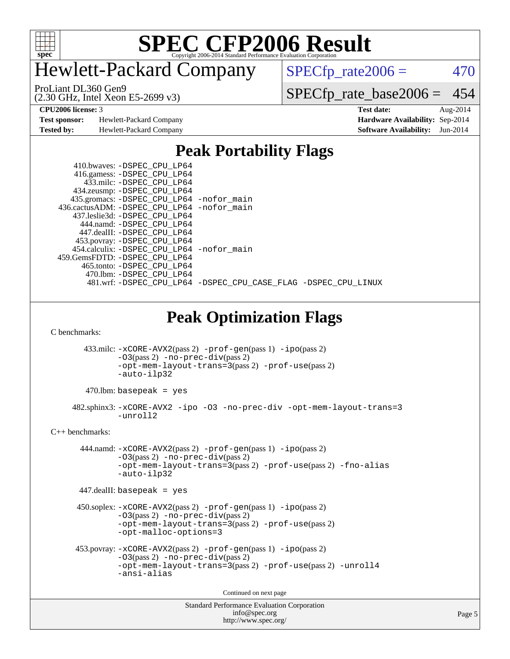

### Hewlett-Packard Company

 $SPECfp_rate2006 = 470$  $SPECfp_rate2006 = 470$ 

(2.30 GHz, Intel Xeon E5-2699 v3) ProLiant DL360 Gen9

[SPECfp\\_rate\\_base2006 =](http://www.spec.org/auto/cpu2006/Docs/result-fields.html#SPECfpratebase2006) 454

**[Test sponsor:](http://www.spec.org/auto/cpu2006/Docs/result-fields.html#Testsponsor)** Hewlett-Packard Company **[Hardware Availability:](http://www.spec.org/auto/cpu2006/Docs/result-fields.html#HardwareAvailability)** Sep-2014 **[Tested by:](http://www.spec.org/auto/cpu2006/Docs/result-fields.html#Testedby)** Hewlett-Packard Company **[Software Availability:](http://www.spec.org/auto/cpu2006/Docs/result-fields.html#SoftwareAvailability)** Jun-2014

**[CPU2006 license:](http://www.spec.org/auto/cpu2006/Docs/result-fields.html#CPU2006license)** 3 **[Test date:](http://www.spec.org/auto/cpu2006/Docs/result-fields.html#Testdate)** Aug-2014

#### **[Peak Portability Flags](http://www.spec.org/auto/cpu2006/Docs/result-fields.html#PeakPortabilityFlags)**

| 410.bwaves: -DSPEC CPU LP64<br>416.gamess: -DSPEC_CPU_LP64<br>433.milc: -DSPEC_CPU LP64 |  |  |  |  |
|-----------------------------------------------------------------------------------------|--|--|--|--|
|                                                                                         |  |  |  |  |
| 434.zeusmp: -DSPEC_CPU_LP64                                                             |  |  |  |  |
| 435.gromacs: -DSPEC_CPU_LP64 -nofor_main                                                |  |  |  |  |
| 436.cactusADM: -DSPEC CPU LP64 -nofor main                                              |  |  |  |  |
| 437.leslie3d: -DSPEC CPU LP64                                                           |  |  |  |  |
| 444.namd: -DSPEC CPU LP64                                                               |  |  |  |  |
| 447.dealII: -DSPEC_CPU_LP64                                                             |  |  |  |  |
| 453.povray: -DSPEC_CPU_LP64                                                             |  |  |  |  |
| 454.calculix: -DSPEC CPU LP64 -nofor main                                               |  |  |  |  |
| 459.GemsFDTD: -DSPEC_CPU_LP64                                                           |  |  |  |  |
| 465.tonto: -DSPEC CPU LP64                                                              |  |  |  |  |
| 470.1bm: -DSPEC CPU LP64                                                                |  |  |  |  |
| 481.wrf: -DSPEC CPU LP64 -DSPEC CPU CASE FLAG -DSPEC CPU LINUX                          |  |  |  |  |

#### **[Peak Optimization Flags](http://www.spec.org/auto/cpu2006/Docs/result-fields.html#PeakOptimizationFlags)**

[C benchmarks](http://www.spec.org/auto/cpu2006/Docs/result-fields.html#Cbenchmarks):

 433.milc: [-xCORE-AVX2](http://www.spec.org/cpu2006/results/res2014q3/cpu2006-20140908-31236.flags.html#user_peakPASS2_CFLAGSPASS2_LDFLAGS433_milc_f-xAVX2_5f5fc0cbe2c9f62c816d3e45806c70d7)(pass 2) [-prof-gen](http://www.spec.org/cpu2006/results/res2014q3/cpu2006-20140908-31236.flags.html#user_peakPASS1_CFLAGSPASS1_LDFLAGS433_milc_prof_gen_e43856698f6ca7b7e442dfd80e94a8fc)(pass 1) [-ipo](http://www.spec.org/cpu2006/results/res2014q3/cpu2006-20140908-31236.flags.html#user_peakPASS2_CFLAGSPASS2_LDFLAGS433_milc_f-ipo)(pass 2) [-O3](http://www.spec.org/cpu2006/results/res2014q3/cpu2006-20140908-31236.flags.html#user_peakPASS2_CFLAGSPASS2_LDFLAGS433_milc_f-O3)(pass 2) [-no-prec-div](http://www.spec.org/cpu2006/results/res2014q3/cpu2006-20140908-31236.flags.html#user_peakPASS2_CFLAGSPASS2_LDFLAGS433_milc_f-no-prec-div)(pass 2) [-opt-mem-layout-trans=3](http://www.spec.org/cpu2006/results/res2014q3/cpu2006-20140908-31236.flags.html#user_peakPASS2_CFLAGS433_milc_f-opt-mem-layout-trans_a7b82ad4bd7abf52556d4961a2ae94d5)(pass 2) [-prof-use](http://www.spec.org/cpu2006/results/res2014q3/cpu2006-20140908-31236.flags.html#user_peakPASS2_CFLAGSPASS2_LDFLAGS433_milc_prof_use_bccf7792157ff70d64e32fe3e1250b55)(pass 2) [-auto-ilp32](http://www.spec.org/cpu2006/results/res2014q3/cpu2006-20140908-31236.flags.html#user_peakCOPTIMIZE433_milc_f-auto-ilp32)

 $470$ .lbm: basepeak = yes

 482.sphinx3: [-xCORE-AVX2](http://www.spec.org/cpu2006/results/res2014q3/cpu2006-20140908-31236.flags.html#user_peakOPTIMIZE482_sphinx3_f-xAVX2_5f5fc0cbe2c9f62c816d3e45806c70d7) [-ipo](http://www.spec.org/cpu2006/results/res2014q3/cpu2006-20140908-31236.flags.html#user_peakOPTIMIZE482_sphinx3_f-ipo) [-O3](http://www.spec.org/cpu2006/results/res2014q3/cpu2006-20140908-31236.flags.html#user_peakOPTIMIZE482_sphinx3_f-O3) [-no-prec-div](http://www.spec.org/cpu2006/results/res2014q3/cpu2006-20140908-31236.flags.html#user_peakOPTIMIZE482_sphinx3_f-no-prec-div) [-opt-mem-layout-trans=3](http://www.spec.org/cpu2006/results/res2014q3/cpu2006-20140908-31236.flags.html#user_peakOPTIMIZE482_sphinx3_f-opt-mem-layout-trans_a7b82ad4bd7abf52556d4961a2ae94d5) [-unroll2](http://www.spec.org/cpu2006/results/res2014q3/cpu2006-20140908-31236.flags.html#user_peakCOPTIMIZE482_sphinx3_f-unroll_784dae83bebfb236979b41d2422d7ec2)

[C++ benchmarks:](http://www.spec.org/auto/cpu2006/Docs/result-fields.html#CXXbenchmarks)

 444.namd: [-xCORE-AVX2](http://www.spec.org/cpu2006/results/res2014q3/cpu2006-20140908-31236.flags.html#user_peakPASS2_CXXFLAGSPASS2_LDFLAGS444_namd_f-xAVX2_5f5fc0cbe2c9f62c816d3e45806c70d7)(pass 2) [-prof-gen](http://www.spec.org/cpu2006/results/res2014q3/cpu2006-20140908-31236.flags.html#user_peakPASS1_CXXFLAGSPASS1_LDFLAGS444_namd_prof_gen_e43856698f6ca7b7e442dfd80e94a8fc)(pass 1) [-ipo](http://www.spec.org/cpu2006/results/res2014q3/cpu2006-20140908-31236.flags.html#user_peakPASS2_CXXFLAGSPASS2_LDFLAGS444_namd_f-ipo)(pass 2) [-O3](http://www.spec.org/cpu2006/results/res2014q3/cpu2006-20140908-31236.flags.html#user_peakPASS2_CXXFLAGSPASS2_LDFLAGS444_namd_f-O3)(pass 2) [-no-prec-div](http://www.spec.org/cpu2006/results/res2014q3/cpu2006-20140908-31236.flags.html#user_peakPASS2_CXXFLAGSPASS2_LDFLAGS444_namd_f-no-prec-div)(pass 2) [-opt-mem-layout-trans=3](http://www.spec.org/cpu2006/results/res2014q3/cpu2006-20140908-31236.flags.html#user_peakPASS2_CXXFLAGS444_namd_f-opt-mem-layout-trans_a7b82ad4bd7abf52556d4961a2ae94d5)(pass 2) [-prof-use](http://www.spec.org/cpu2006/results/res2014q3/cpu2006-20140908-31236.flags.html#user_peakPASS2_CXXFLAGSPASS2_LDFLAGS444_namd_prof_use_bccf7792157ff70d64e32fe3e1250b55)(pass 2) [-fno-alias](http://www.spec.org/cpu2006/results/res2014q3/cpu2006-20140908-31236.flags.html#user_peakCXXOPTIMIZE444_namd_f-no-alias_694e77f6c5a51e658e82ccff53a9e63a) [-auto-ilp32](http://www.spec.org/cpu2006/results/res2014q3/cpu2006-20140908-31236.flags.html#user_peakCXXOPTIMIZE444_namd_f-auto-ilp32)

447.dealII: basepeak = yes

 450.soplex: [-xCORE-AVX2](http://www.spec.org/cpu2006/results/res2014q3/cpu2006-20140908-31236.flags.html#user_peakPASS2_CXXFLAGSPASS2_LDFLAGS450_soplex_f-xAVX2_5f5fc0cbe2c9f62c816d3e45806c70d7)(pass 2) [-prof-gen](http://www.spec.org/cpu2006/results/res2014q3/cpu2006-20140908-31236.flags.html#user_peakPASS1_CXXFLAGSPASS1_LDFLAGS450_soplex_prof_gen_e43856698f6ca7b7e442dfd80e94a8fc)(pass 1) [-ipo](http://www.spec.org/cpu2006/results/res2014q3/cpu2006-20140908-31236.flags.html#user_peakPASS2_CXXFLAGSPASS2_LDFLAGS450_soplex_f-ipo)(pass 2) [-O3](http://www.spec.org/cpu2006/results/res2014q3/cpu2006-20140908-31236.flags.html#user_peakPASS2_CXXFLAGSPASS2_LDFLAGS450_soplex_f-O3)(pass 2) [-no-prec-div](http://www.spec.org/cpu2006/results/res2014q3/cpu2006-20140908-31236.flags.html#user_peakPASS2_CXXFLAGSPASS2_LDFLAGS450_soplex_f-no-prec-div)(pass 2) [-opt-mem-layout-trans=3](http://www.spec.org/cpu2006/results/res2014q3/cpu2006-20140908-31236.flags.html#user_peakPASS2_CXXFLAGS450_soplex_f-opt-mem-layout-trans_a7b82ad4bd7abf52556d4961a2ae94d5)(pass 2) [-prof-use](http://www.spec.org/cpu2006/results/res2014q3/cpu2006-20140908-31236.flags.html#user_peakPASS2_CXXFLAGSPASS2_LDFLAGS450_soplex_prof_use_bccf7792157ff70d64e32fe3e1250b55)(pass 2) [-opt-malloc-options=3](http://www.spec.org/cpu2006/results/res2014q3/cpu2006-20140908-31236.flags.html#user_peakOPTIMIZE450_soplex_f-opt-malloc-options_13ab9b803cf986b4ee62f0a5998c2238)

```
 453.povray: -xCORE-AVX2(pass 2) -prof-gen(pass 1) -ipo(pass 2)
 -O3(pass 2) -no-prec-div(pass 2)
-opt-mem-layout-trans=3(pass 2) -prof-use(pass 2) -unroll4
-ansi-alias
```
Continued on next page

```
Standard Performance Evaluation Corporation
    info@spec.org
  http://www.spec.org/
```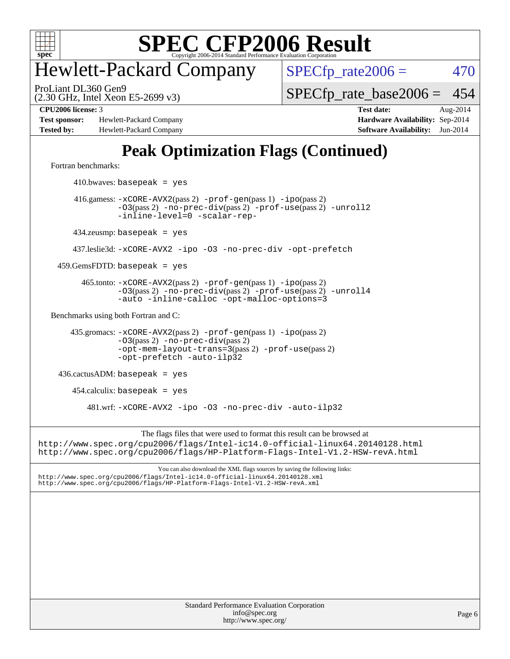

### Hewlett-Packard Company

 $SPECfp_rate2006 = 470$  $SPECfp_rate2006 = 470$ 

(2.30 GHz, Intel Xeon E5-2699 v3) ProLiant DL360 Gen9

[SPECfp\\_rate\\_base2006 =](http://www.spec.org/auto/cpu2006/Docs/result-fields.html#SPECfpratebase2006) 454

**[Test sponsor:](http://www.spec.org/auto/cpu2006/Docs/result-fields.html#Testsponsor)** Hewlett-Packard Company **[Hardware Availability:](http://www.spec.org/auto/cpu2006/Docs/result-fields.html#HardwareAvailability)** Sep-2014 **[Tested by:](http://www.spec.org/auto/cpu2006/Docs/result-fields.html#Testedby)** Hewlett-Packard Company **[Software Availability:](http://www.spec.org/auto/cpu2006/Docs/result-fields.html#SoftwareAvailability)** Jun-2014

**[CPU2006 license:](http://www.spec.org/auto/cpu2006/Docs/result-fields.html#CPU2006license)** 3 **[Test date:](http://www.spec.org/auto/cpu2006/Docs/result-fields.html#Testdate)** Aug-2014

### **[Peak Optimization Flags \(Continued\)](http://www.spec.org/auto/cpu2006/Docs/result-fields.html#PeakOptimizationFlags)**

[Fortran benchmarks](http://www.spec.org/auto/cpu2006/Docs/result-fields.html#Fortranbenchmarks):

 $410.bwaves: basepeak = yes$  416.gamess: [-xCORE-AVX2](http://www.spec.org/cpu2006/results/res2014q3/cpu2006-20140908-31236.flags.html#user_peakPASS2_FFLAGSPASS2_LDFLAGS416_gamess_f-xAVX2_5f5fc0cbe2c9f62c816d3e45806c70d7)(pass 2) [-prof-gen](http://www.spec.org/cpu2006/results/res2014q3/cpu2006-20140908-31236.flags.html#user_peakPASS1_FFLAGSPASS1_LDFLAGS416_gamess_prof_gen_e43856698f6ca7b7e442dfd80e94a8fc)(pass 1) [-ipo](http://www.spec.org/cpu2006/results/res2014q3/cpu2006-20140908-31236.flags.html#user_peakPASS2_FFLAGSPASS2_LDFLAGS416_gamess_f-ipo)(pass 2) [-O3](http://www.spec.org/cpu2006/results/res2014q3/cpu2006-20140908-31236.flags.html#user_peakPASS2_FFLAGSPASS2_LDFLAGS416_gamess_f-O3)(pass 2) [-no-prec-div](http://www.spec.org/cpu2006/results/res2014q3/cpu2006-20140908-31236.flags.html#user_peakPASS2_FFLAGSPASS2_LDFLAGS416_gamess_f-no-prec-div)(pass 2) [-prof-use](http://www.spec.org/cpu2006/results/res2014q3/cpu2006-20140908-31236.flags.html#user_peakPASS2_FFLAGSPASS2_LDFLAGS416_gamess_prof_use_bccf7792157ff70d64e32fe3e1250b55)(pass 2) [-unroll2](http://www.spec.org/cpu2006/results/res2014q3/cpu2006-20140908-31236.flags.html#user_peakOPTIMIZE416_gamess_f-unroll_784dae83bebfb236979b41d2422d7ec2) [-inline-level=0](http://www.spec.org/cpu2006/results/res2014q3/cpu2006-20140908-31236.flags.html#user_peakOPTIMIZE416_gamess_f-inline-level_318d07a09274ad25e8d15dbfaa68ba50) [-scalar-rep-](http://www.spec.org/cpu2006/results/res2014q3/cpu2006-20140908-31236.flags.html#user_peakOPTIMIZE416_gamess_f-disablescalarrep_abbcad04450fb118e4809c81d83c8a1d) 434.zeusmp: basepeak = yes 437.leslie3d: [-xCORE-AVX2](http://www.spec.org/cpu2006/results/res2014q3/cpu2006-20140908-31236.flags.html#user_peakOPTIMIZE437_leslie3d_f-xAVX2_5f5fc0cbe2c9f62c816d3e45806c70d7) [-ipo](http://www.spec.org/cpu2006/results/res2014q3/cpu2006-20140908-31236.flags.html#user_peakOPTIMIZE437_leslie3d_f-ipo) [-O3](http://www.spec.org/cpu2006/results/res2014q3/cpu2006-20140908-31236.flags.html#user_peakOPTIMIZE437_leslie3d_f-O3) [-no-prec-div](http://www.spec.org/cpu2006/results/res2014q3/cpu2006-20140908-31236.flags.html#user_peakOPTIMIZE437_leslie3d_f-no-prec-div) [-opt-prefetch](http://www.spec.org/cpu2006/results/res2014q3/cpu2006-20140908-31236.flags.html#user_peakOPTIMIZE437_leslie3d_f-opt-prefetch)  $459.GemsFDTD: basepeak = yes$  465.tonto: [-xCORE-AVX2](http://www.spec.org/cpu2006/results/res2014q3/cpu2006-20140908-31236.flags.html#user_peakPASS2_FFLAGSPASS2_LDFLAGS465_tonto_f-xAVX2_5f5fc0cbe2c9f62c816d3e45806c70d7)(pass 2) [-prof-gen](http://www.spec.org/cpu2006/results/res2014q3/cpu2006-20140908-31236.flags.html#user_peakPASS1_FFLAGSPASS1_LDFLAGS465_tonto_prof_gen_e43856698f6ca7b7e442dfd80e94a8fc)(pass 1) [-ipo](http://www.spec.org/cpu2006/results/res2014q3/cpu2006-20140908-31236.flags.html#user_peakPASS2_FFLAGSPASS2_LDFLAGS465_tonto_f-ipo)(pass 2) [-O3](http://www.spec.org/cpu2006/results/res2014q3/cpu2006-20140908-31236.flags.html#user_peakPASS2_FFLAGSPASS2_LDFLAGS465_tonto_f-O3)(pass 2) [-no-prec-div](http://www.spec.org/cpu2006/results/res2014q3/cpu2006-20140908-31236.flags.html#user_peakPASS2_FFLAGSPASS2_LDFLAGS465_tonto_f-no-prec-div)(pass 2) [-prof-use](http://www.spec.org/cpu2006/results/res2014q3/cpu2006-20140908-31236.flags.html#user_peakPASS2_FFLAGSPASS2_LDFLAGS465_tonto_prof_use_bccf7792157ff70d64e32fe3e1250b55)(pass 2) [-unroll4](http://www.spec.org/cpu2006/results/res2014q3/cpu2006-20140908-31236.flags.html#user_peakOPTIMIZE465_tonto_f-unroll_4e5e4ed65b7fd20bdcd365bec371b81f) [-auto](http://www.spec.org/cpu2006/results/res2014q3/cpu2006-20140908-31236.flags.html#user_peakOPTIMIZE465_tonto_f-auto) [-inline-calloc](http://www.spec.org/cpu2006/results/res2014q3/cpu2006-20140908-31236.flags.html#user_peakOPTIMIZE465_tonto_f-inline-calloc) [-opt-malloc-options=3](http://www.spec.org/cpu2006/results/res2014q3/cpu2006-20140908-31236.flags.html#user_peakOPTIMIZE465_tonto_f-opt-malloc-options_13ab9b803cf986b4ee62f0a5998c2238) [Benchmarks using both Fortran and C](http://www.spec.org/auto/cpu2006/Docs/result-fields.html#BenchmarksusingbothFortranandC): 435.gromacs: [-xCORE-AVX2](http://www.spec.org/cpu2006/results/res2014q3/cpu2006-20140908-31236.flags.html#user_peakPASS2_CFLAGSPASS2_FFLAGSPASS2_LDFLAGS435_gromacs_f-xAVX2_5f5fc0cbe2c9f62c816d3e45806c70d7)(pass 2) [-prof-gen](http://www.spec.org/cpu2006/results/res2014q3/cpu2006-20140908-31236.flags.html#user_peakPASS1_CFLAGSPASS1_FFLAGSPASS1_LDFLAGS435_gromacs_prof_gen_e43856698f6ca7b7e442dfd80e94a8fc)(pass 1) [-ipo](http://www.spec.org/cpu2006/results/res2014q3/cpu2006-20140908-31236.flags.html#user_peakPASS2_CFLAGSPASS2_FFLAGSPASS2_LDFLAGS435_gromacs_f-ipo)(pass 2) [-O3](http://www.spec.org/cpu2006/results/res2014q3/cpu2006-20140908-31236.flags.html#user_peakPASS2_CFLAGSPASS2_FFLAGSPASS2_LDFLAGS435_gromacs_f-O3)(pass 2) [-no-prec-div](http://www.spec.org/cpu2006/results/res2014q3/cpu2006-20140908-31236.flags.html#user_peakPASS2_CFLAGSPASS2_FFLAGSPASS2_LDFLAGS435_gromacs_f-no-prec-div)(pass 2) [-opt-mem-layout-trans=3](http://www.spec.org/cpu2006/results/res2014q3/cpu2006-20140908-31236.flags.html#user_peakPASS2_CFLAGS435_gromacs_f-opt-mem-layout-trans_a7b82ad4bd7abf52556d4961a2ae94d5)(pass 2) [-prof-use](http://www.spec.org/cpu2006/results/res2014q3/cpu2006-20140908-31236.flags.html#user_peakPASS2_CFLAGSPASS2_FFLAGSPASS2_LDFLAGS435_gromacs_prof_use_bccf7792157ff70d64e32fe3e1250b55)(pass 2) [-opt-prefetch](http://www.spec.org/cpu2006/results/res2014q3/cpu2006-20140908-31236.flags.html#user_peakOPTIMIZE435_gromacs_f-opt-prefetch) [-auto-ilp32](http://www.spec.org/cpu2006/results/res2014q3/cpu2006-20140908-31236.flags.html#user_peakCOPTIMIZE435_gromacs_f-auto-ilp32) 436.cactusADM: basepeak = yes  $454$ .calculix: basepeak = yes 481.wrf: [-xCORE-AVX2](http://www.spec.org/cpu2006/results/res2014q3/cpu2006-20140908-31236.flags.html#user_peakOPTIMIZE481_wrf_f-xAVX2_5f5fc0cbe2c9f62c816d3e45806c70d7) [-ipo](http://www.spec.org/cpu2006/results/res2014q3/cpu2006-20140908-31236.flags.html#user_peakOPTIMIZE481_wrf_f-ipo) [-O3](http://www.spec.org/cpu2006/results/res2014q3/cpu2006-20140908-31236.flags.html#user_peakOPTIMIZE481_wrf_f-O3) [-no-prec-div](http://www.spec.org/cpu2006/results/res2014q3/cpu2006-20140908-31236.flags.html#user_peakOPTIMIZE481_wrf_f-no-prec-div) [-auto-ilp32](http://www.spec.org/cpu2006/results/res2014q3/cpu2006-20140908-31236.flags.html#user_peakCOPTIMIZE481_wrf_f-auto-ilp32) The flags files that were used to format this result can be browsed at <http://www.spec.org/cpu2006/flags/Intel-ic14.0-official-linux64.20140128.html> <http://www.spec.org/cpu2006/flags/HP-Platform-Flags-Intel-V1.2-HSW-revA.html> You can also download the XML flags sources by saving the following links: <http://www.spec.org/cpu2006/flags/Intel-ic14.0-official-linux64.20140128.xml> <http://www.spec.org/cpu2006/flags/HP-Platform-Flags-Intel-V1.2-HSW-revA.xml>